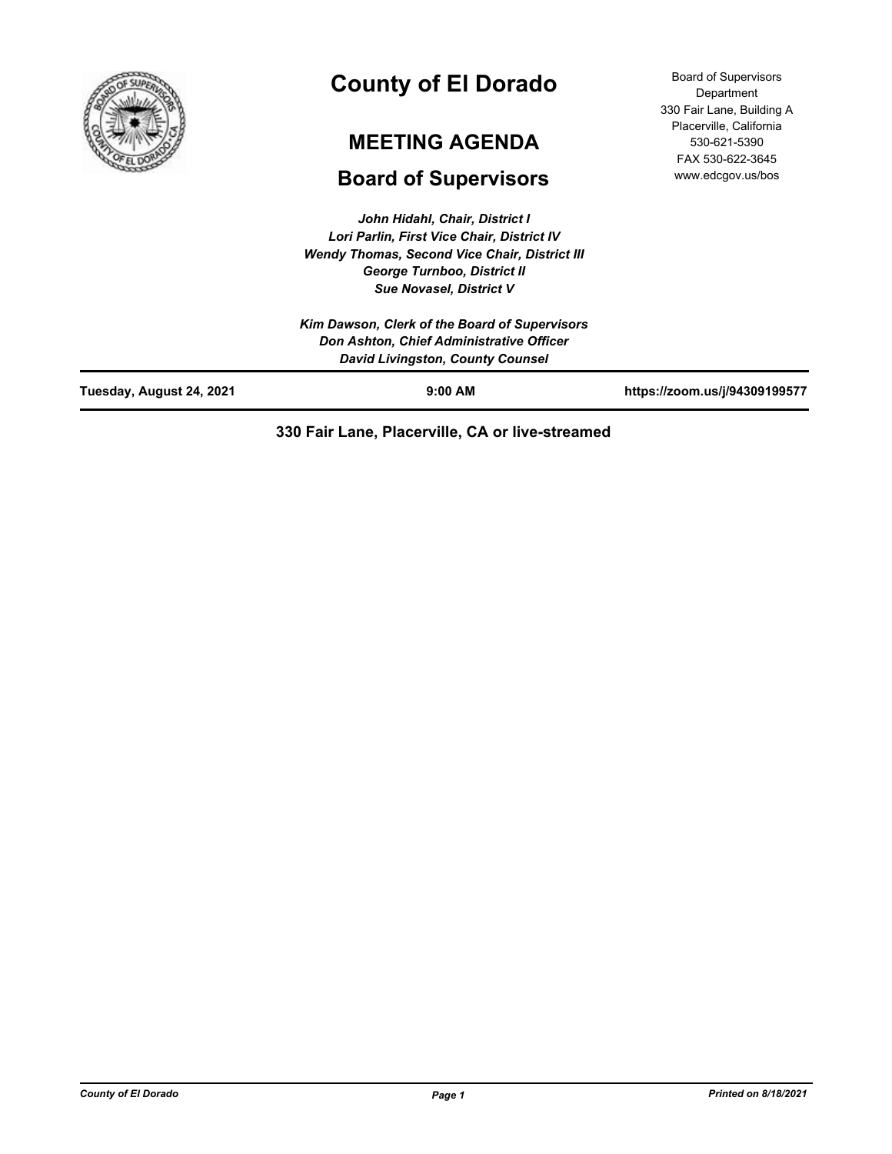

# **County of El Dorado**

# **MEETING AGENDA**

# **Board of Supervisors**

*John Hidahl, Chair, District I Lori Parlin, First Vice Chair, District IV Wendy Thomas, Second Vice Chair, District III George Turnboo, District II Sue Novasel, District V*

|                          | Kim Dawson, Clerk of the Board of Supervisors<br>Don Ashton, Chief Administrative Officer<br>David Livingston, County Counsel |                               |
|--------------------------|-------------------------------------------------------------------------------------------------------------------------------|-------------------------------|
| Tuesday, August 24, 2021 | $9:00$ AM                                                                                                                     | https://zoom.us/j/94309199577 |

# **330 Fair Lane, Placerville, CA or live-streamed**

Board of Supervisors Department 330 Fair Lane, Building A Placerville, California 530-621-5390 FAX 530-622-3645 www.edcgov.us/bos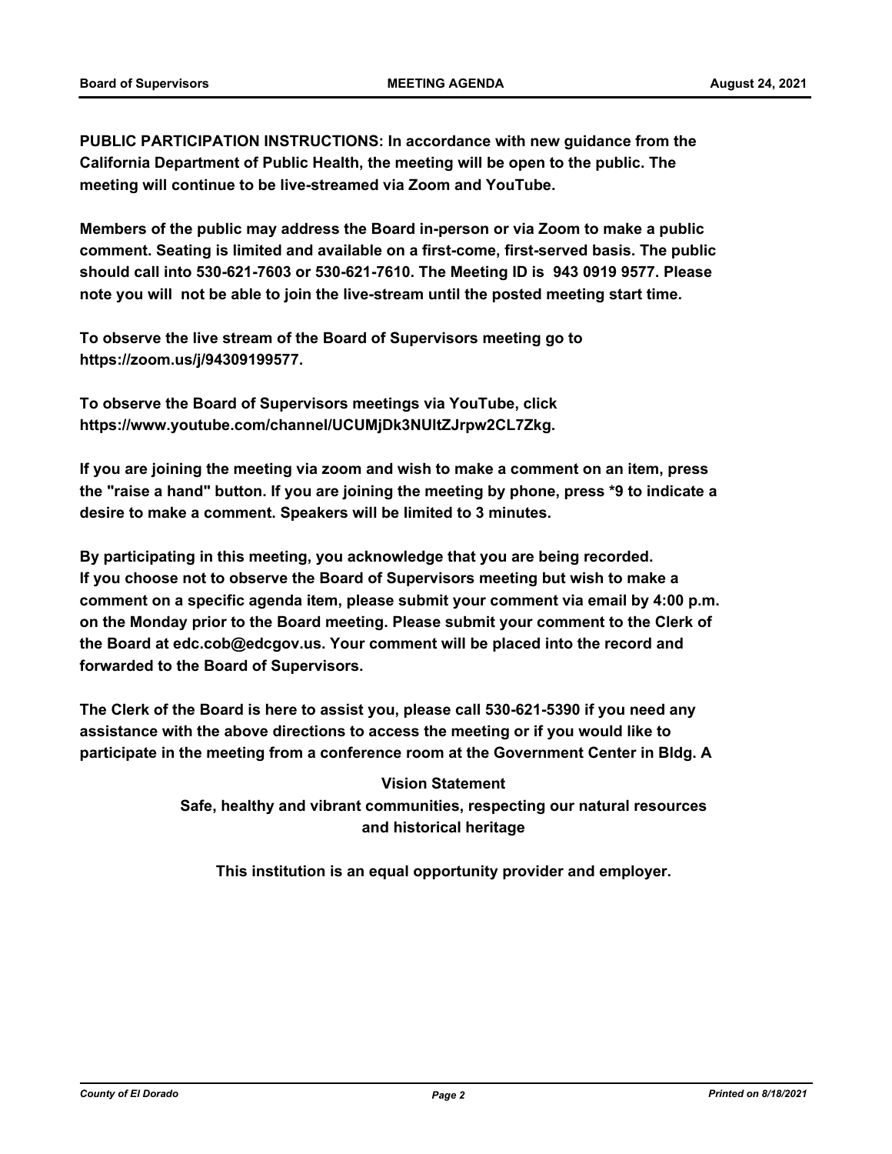**PUBLIC PARTICIPATION INSTRUCTIONS: In accordance with new guidance from the California Department of Public Health, the meeting will be open to the public. The meeting will continue to be live-streamed via Zoom and YouTube.**

**Members of the public may address the Board in-person or via Zoom to make a public comment. Seating is limited and available on a first-come, first-served basis. The public should call into 530-621-7603 or 530-621-7610. The Meeting ID is 943 0919 9577. Please note you will not be able to join the live-stream until the posted meeting start time.**

**To observe the live stream of the Board of Supervisors meeting go to https://zoom.us/j/94309199577.**

**To observe the Board of Supervisors meetings via YouTube, click https://www.youtube.com/channel/UCUMjDk3NUltZJrpw2CL7Zkg.**

**If you are joining the meeting via zoom and wish to make a comment on an item, press the "raise a hand" button. If you are joining the meeting by phone, press \*9 to indicate a desire to make a comment. Speakers will be limited to 3 minutes.**

**By participating in this meeting, you acknowledge that you are being recorded. If you choose not to observe the Board of Supervisors meeting but wish to make a comment on a specific agenda item, please submit your comment via email by 4:00 p.m. on the Monday prior to the Board meeting. Please submit your comment to the Clerk of the Board at edc.cob@edcgov.us. Your comment will be placed into the record and forwarded to the Board of Supervisors.**

**The Clerk of the Board is here to assist you, please call 530-621-5390 if you need any assistance with the above directions to access the meeting or if you would like to participate in the meeting from a conference room at the Government Center in Bldg. A**

> **Vision Statement Safe, healthy and vibrant communities, respecting our natural resources and historical heritage**

**This institution is an equal opportunity provider and employer.**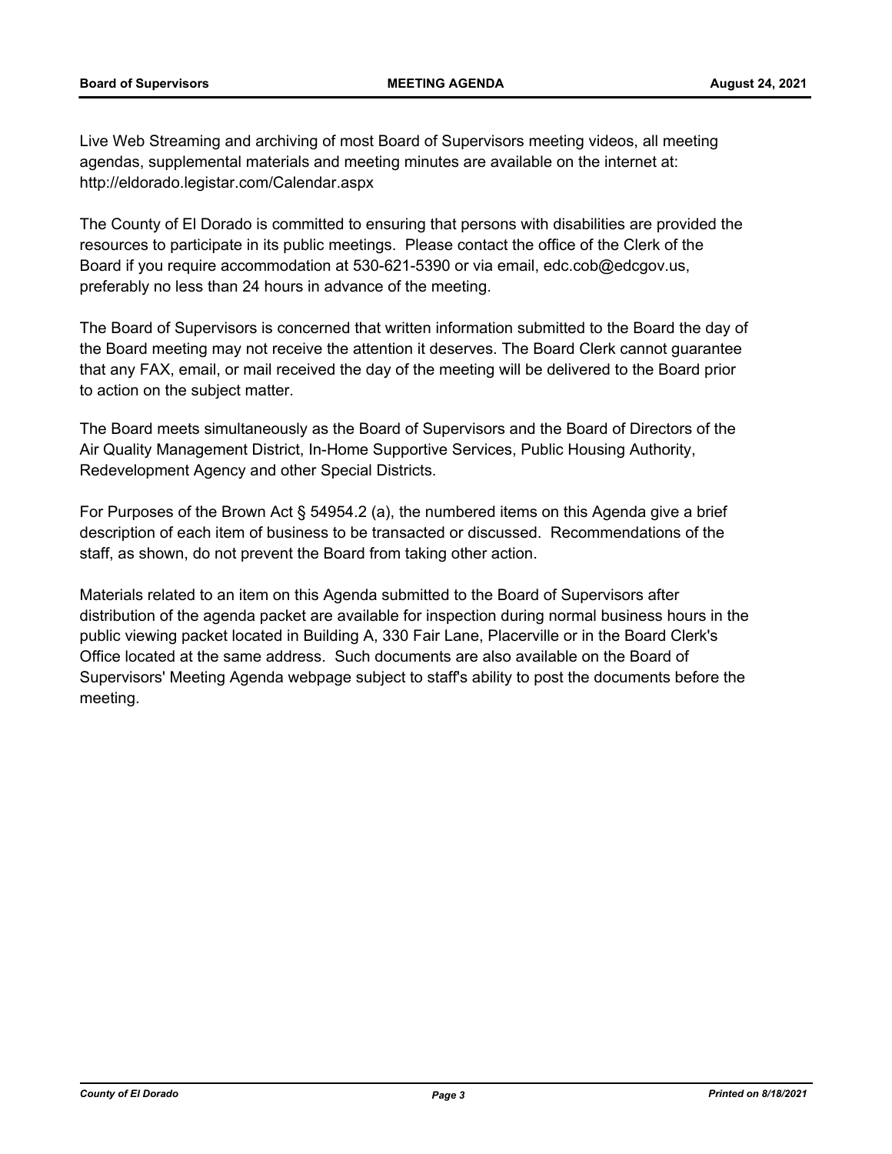Live Web Streaming and archiving of most Board of Supervisors meeting videos, all meeting agendas, supplemental materials and meeting minutes are available on the internet at: http://eldorado.legistar.com/Calendar.aspx

The County of El Dorado is committed to ensuring that persons with disabilities are provided the resources to participate in its public meetings. Please contact the office of the Clerk of the Board if you require accommodation at 530-621-5390 or via email, edc.cob@edcgov.us, preferably no less than 24 hours in advance of the meeting.

The Board of Supervisors is concerned that written information submitted to the Board the day of the Board meeting may not receive the attention it deserves. The Board Clerk cannot guarantee that any FAX, email, or mail received the day of the meeting will be delivered to the Board prior to action on the subject matter.

The Board meets simultaneously as the Board of Supervisors and the Board of Directors of the Air Quality Management District, In-Home Supportive Services, Public Housing Authority, Redevelopment Agency and other Special Districts.

For Purposes of the Brown Act § 54954.2 (a), the numbered items on this Agenda give a brief description of each item of business to be transacted or discussed. Recommendations of the staff, as shown, do not prevent the Board from taking other action.

Materials related to an item on this Agenda submitted to the Board of Supervisors after distribution of the agenda packet are available for inspection during normal business hours in the public viewing packet located in Building A, 330 Fair Lane, Placerville or in the Board Clerk's Office located at the same address. Such documents are also available on the Board of Supervisors' Meeting Agenda webpage subject to staff's ability to post the documents before the meeting.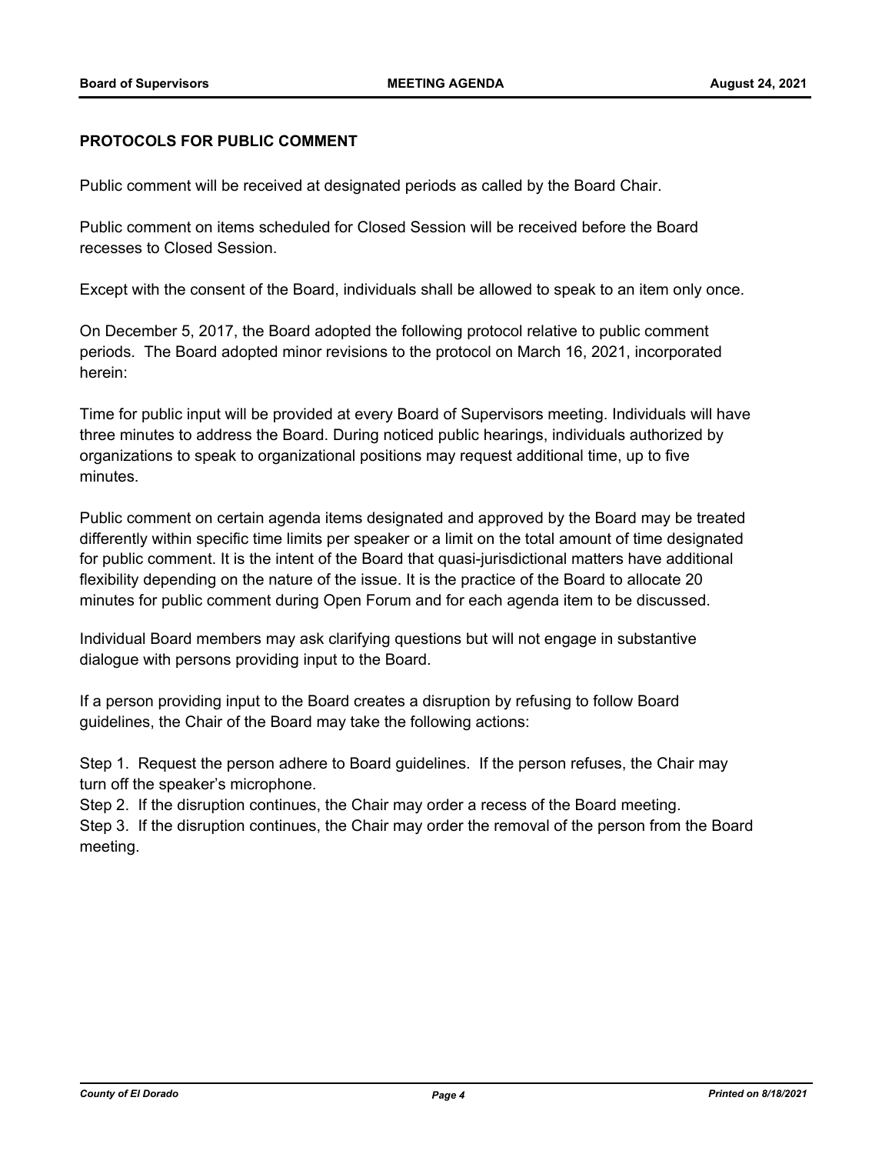#### **PROTOCOLS FOR PUBLIC COMMENT**

Public comment will be received at designated periods as called by the Board Chair.

Public comment on items scheduled for Closed Session will be received before the Board recesses to Closed Session.

Except with the consent of the Board, individuals shall be allowed to speak to an item only once.

On December 5, 2017, the Board adopted the following protocol relative to public comment periods. The Board adopted minor revisions to the protocol on March 16, 2021, incorporated herein:

Time for public input will be provided at every Board of Supervisors meeting. Individuals will have three minutes to address the Board. During noticed public hearings, individuals authorized by organizations to speak to organizational positions may request additional time, up to five minutes.

Public comment on certain agenda items designated and approved by the Board may be treated differently within specific time limits per speaker or a limit on the total amount of time designated for public comment. It is the intent of the Board that quasi-jurisdictional matters have additional flexibility depending on the nature of the issue. It is the practice of the Board to allocate 20 minutes for public comment during Open Forum and for each agenda item to be discussed.

Individual Board members may ask clarifying questions but will not engage in substantive dialogue with persons providing input to the Board.

If a person providing input to the Board creates a disruption by refusing to follow Board guidelines, the Chair of the Board may take the following actions:

Step 1. Request the person adhere to Board guidelines. If the person refuses, the Chair may turn off the speaker's microphone.

Step 2. If the disruption continues, the Chair may order a recess of the Board meeting.

Step 3. If the disruption continues, the Chair may order the removal of the person from the Board meeting.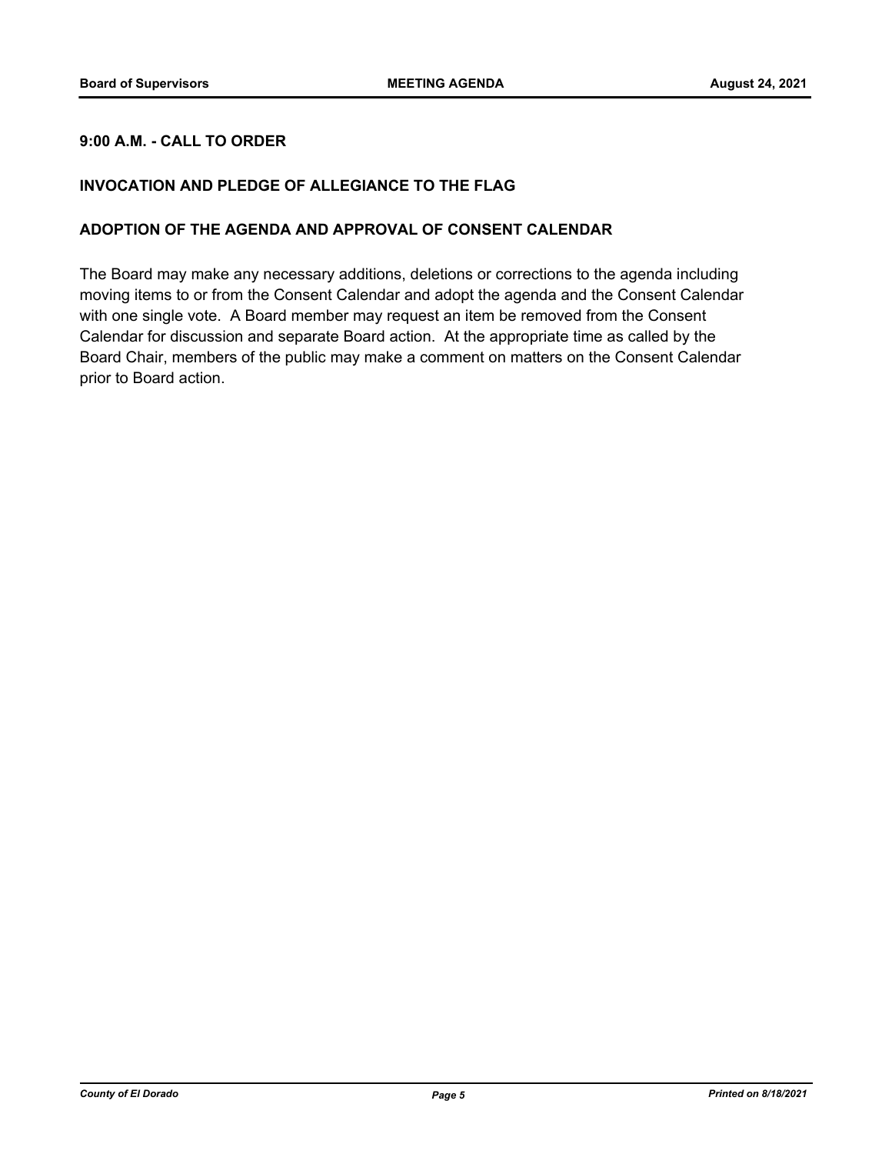### **9:00 A.M. - CALL TO ORDER**

#### **INVOCATION AND PLEDGE OF ALLEGIANCE TO THE FLAG**

#### **ADOPTION OF THE AGENDA AND APPROVAL OF CONSENT CALENDAR**

The Board may make any necessary additions, deletions or corrections to the agenda including moving items to or from the Consent Calendar and adopt the agenda and the Consent Calendar with one single vote. A Board member may request an item be removed from the Consent Calendar for discussion and separate Board action. At the appropriate time as called by the Board Chair, members of the public may make a comment on matters on the Consent Calendar prior to Board action.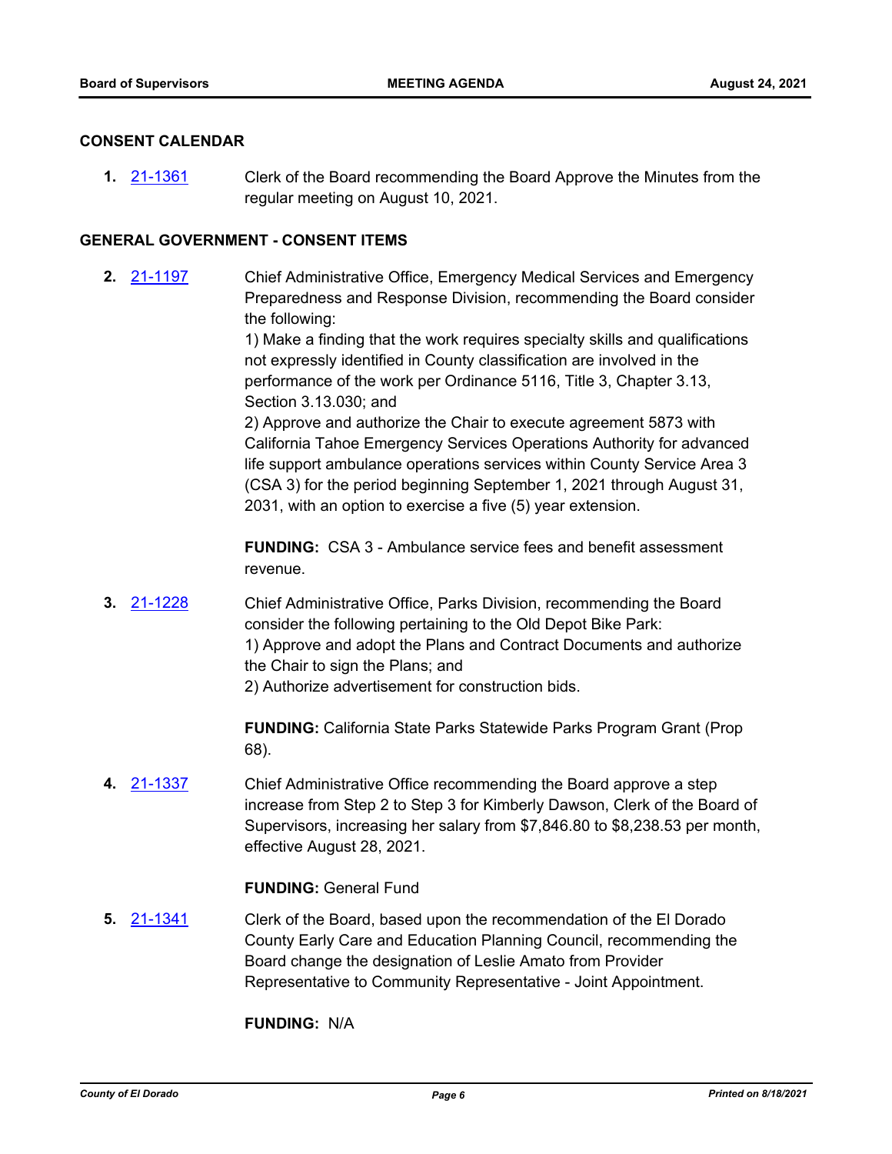#### **CONSENT CALENDAR**

**1.** [21-1361](http://eldorado.legistar.com/gateway.aspx?m=l&id=/matter.aspx?key=30256) Clerk of the Board recommending the Board Approve the Minutes from the regular meeting on August 10, 2021.

#### **GENERAL GOVERNMENT - CONSENT ITEMS**

**2.** [21-1197](http://eldorado.legistar.com/gateway.aspx?m=l&id=/matter.aspx?key=30092) Chief Administrative Office, Emergency Medical Services and Emergency Preparedness and Response Division, recommending the Board consider the following:

> 1) Make a finding that the work requires specialty skills and qualifications not expressly identified in County classification are involved in the performance of the work per Ordinance 5116, Title 3, Chapter 3.13, Section 3.13.030; and

> 2) Approve and authorize the Chair to execute agreement 5873 with California Tahoe Emergency Services Operations Authority for advanced life support ambulance operations services within County Service Area 3 (CSA 3) for the period beginning September 1, 2021 through August 31, 2031, with an option to exercise a five (5) year extension.

**FUNDING:** CSA 3 - Ambulance service fees and benefit assessment revenue.

**3.** [21-1228](http://eldorado.legistar.com/gateway.aspx?m=l&id=/matter.aspx?key=30123) Chief Administrative Office, Parks Division, recommending the Board consider the following pertaining to the Old Depot Bike Park: 1) Approve and adopt the Plans and Contract Documents and authorize the Chair to sign the Plans; and 2) Authorize advertisement for construction bids.

> **FUNDING:** California State Parks Statewide Parks Program Grant (Prop 68).

**4.** [21-1337](http://eldorado.legistar.com/gateway.aspx?m=l&id=/matter.aspx?key=30232) Chief Administrative Office recommending the Board approve a step increase from Step 2 to Step 3 for Kimberly Dawson, Clerk of the Board of Supervisors, increasing her salary from \$7,846.80 to \$8,238.53 per month, effective August 28, 2021.

#### **FUNDING:** General Fund

**5.** [21-1341](http://eldorado.legistar.com/gateway.aspx?m=l&id=/matter.aspx?key=30236) Clerk of the Board, based upon the recommendation of the El Dorado County Early Care and Education Planning Council, recommending the Board change the designation of Leslie Amato from Provider Representative to Community Representative - Joint Appointment.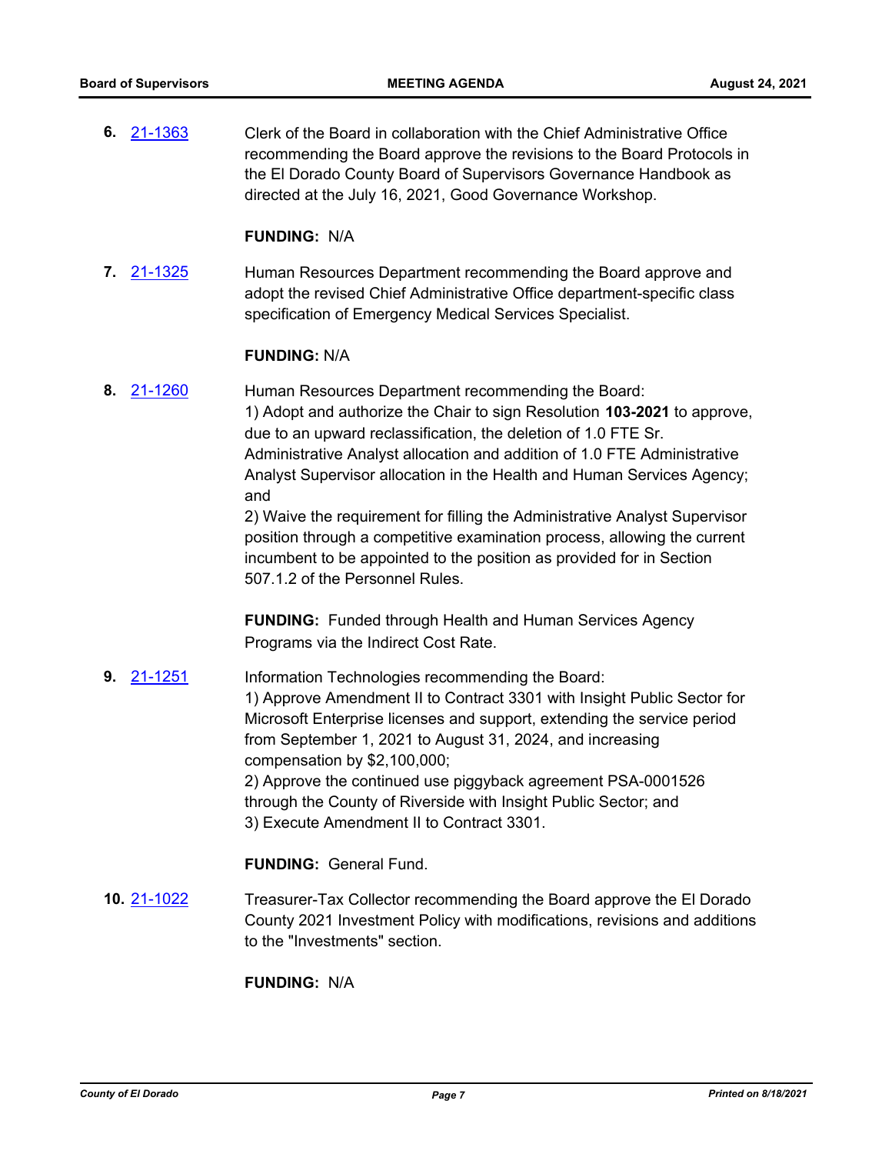**6.** [21-1363](http://eldorado.legistar.com/gateway.aspx?m=l&id=/matter.aspx?key=30258) Clerk of the Board in collaboration with the Chief Administrative Office recommending the Board approve the revisions to the Board Protocols in the El Dorado County Board of Supervisors Governance Handbook as directed at the July 16, 2021, Good Governance Workshop.

#### **FUNDING:** N/A

**7.** [21-1325](http://eldorado.legistar.com/gateway.aspx?m=l&id=/matter.aspx?key=30220) Human Resources Department recommending the Board approve and adopt the revised Chief Administrative Office department-specific class specification of Emergency Medical Services Specialist.

#### **FUNDING:** N/A

**8.** [21-1260](http://eldorado.legistar.com/gateway.aspx?m=l&id=/matter.aspx?key=30155) Human Resources Department recommending the Board: 1) Adopt and authorize the Chair to sign Resolution **103-2021** to approve, due to an upward reclassification, the deletion of 1.0 FTE Sr. Administrative Analyst allocation and addition of 1.0 FTE Administrative Analyst Supervisor allocation in the Health and Human Services Agency; and

2) Waive the requirement for filling the Administrative Analyst Supervisor position through a competitive examination process, allowing the current incumbent to be appointed to the position as provided for in Section 507.1.2 of the Personnel Rules.

**FUNDING:** Funded through Health and Human Services Agency Programs via the Indirect Cost Rate.

**9.** [21-1251](http://eldorado.legistar.com/gateway.aspx?m=l&id=/matter.aspx?key=30146) Information Technologies recommending the Board: 1) Approve Amendment II to Contract 3301 with Insight Public Sector for Microsoft Enterprise licenses and support, extending the service period from September 1, 2021 to August 31, 2024, and increasing compensation by \$2,100,000; 2) Approve the continued use piggyback agreement PSA-0001526 through the County of Riverside with Insight Public Sector; and 3) Execute Amendment II to Contract 3301.

# **FUNDING:** General Fund.

**10.** [21-1022](http://eldorado.legistar.com/gateway.aspx?m=l&id=/matter.aspx?key=29916) Treasurer-Tax Collector recommending the Board approve the El Dorado County 2021 Investment Policy with modifications, revisions and additions to the "Investments" section.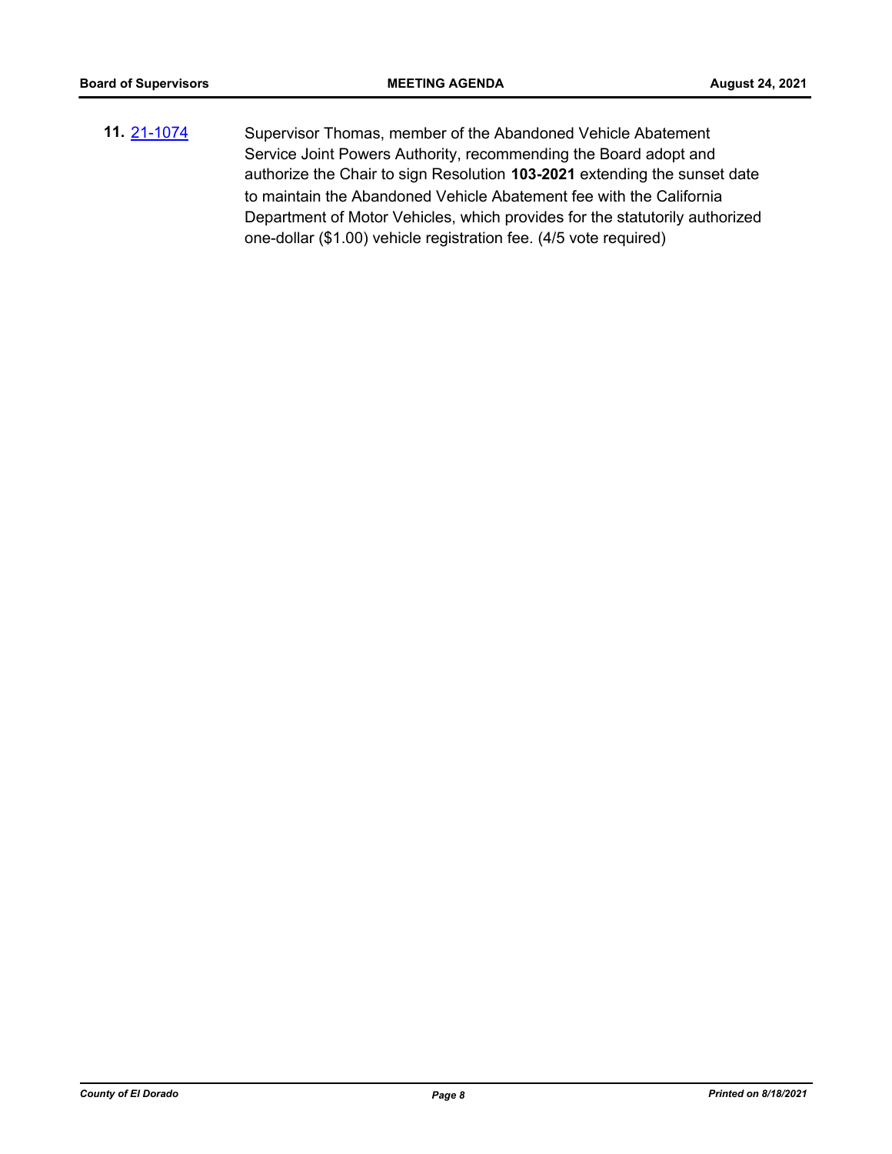**11.** [21-1074](http://eldorado.legistar.com/gateway.aspx?m=l&id=/matter.aspx?key=29968) Supervisor Thomas, member of the Abandoned Vehicle Abatement Service Joint Powers Authority, recommending the Board adopt and authorize the Chair to sign Resolution **103-2021** extending the sunset date to maintain the Abandoned Vehicle Abatement fee with the California Department of Motor Vehicles, which provides for the statutorily authorized one-dollar (\$1.00) vehicle registration fee. (4/5 vote required)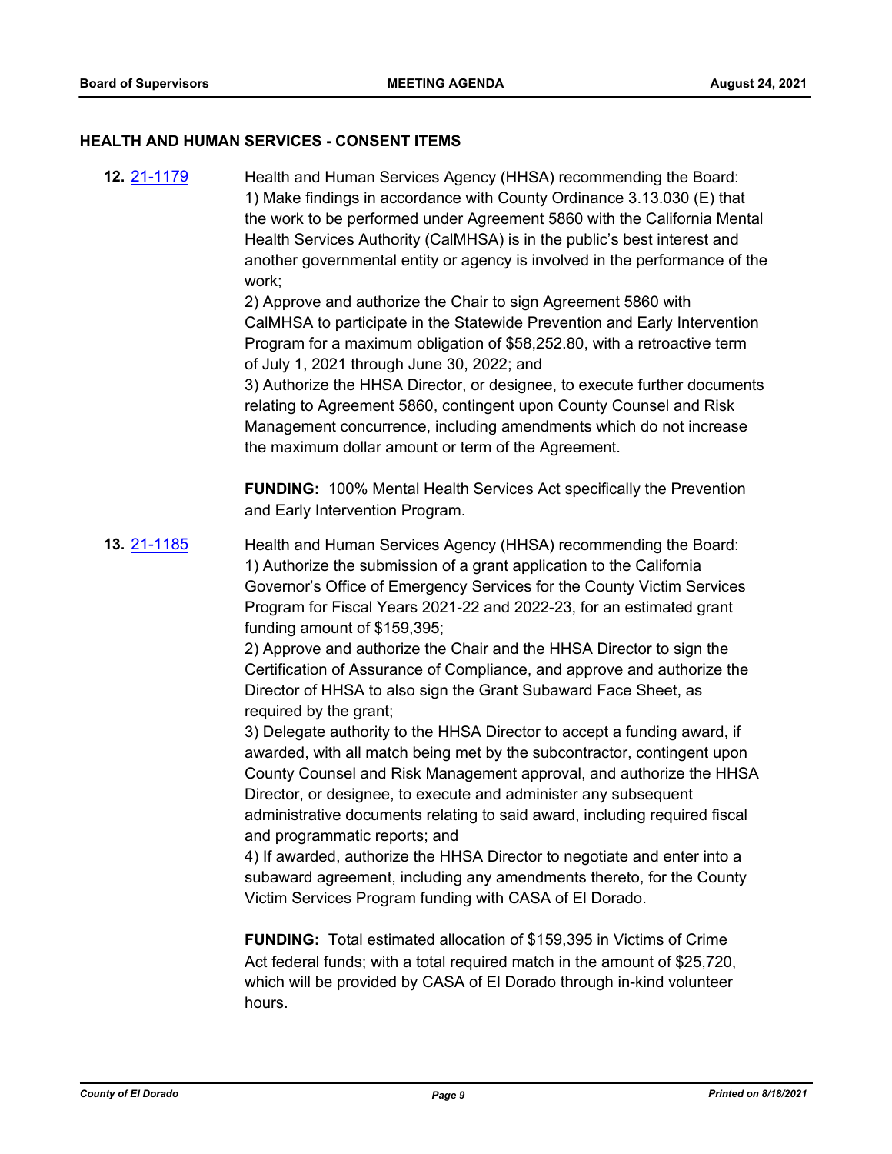#### **HEALTH AND HUMAN SERVICES - CONSENT ITEMS**

**12.** [21-1179](http://eldorado.legistar.com/gateway.aspx?m=l&id=/matter.aspx?key=30074) Health and Human Services Agency (HHSA) recommending the Board: 1) Make findings in accordance with County Ordinance 3.13.030 (E) that the work to be performed under Agreement 5860 with the California Mental Health Services Authority (CalMHSA) is in the public's best interest and another governmental entity or agency is involved in the performance of the work; 2) Approve and authorize the Chair to sign Agreement 5860 with CalMHSA to participate in the Statewide Prevention and Early Intervention Program for a maximum obligation of \$58,252.80, with a retroactive term of July 1, 2021 through June 30, 2022; and 3) Authorize the HHSA Director, or designee, to execute further documents relating to Agreement 5860, contingent upon County Counsel and Risk Management concurrence, including amendments which do not increase the maximum dollar amount or term of the Agreement. **FUNDING:** 100% Mental Health Services Act specifically the Prevention and Early Intervention Program. **13.** [21-1185](http://eldorado.legistar.com/gateway.aspx?m=l&id=/matter.aspx?key=30080) Health and Human Services Agency (HHSA) recommending the Board: 1) Authorize the submission of a grant application to the California Governor's Office of Emergency Services for the County Victim Services Program for Fiscal Years 2021-22 and 2022-23, for an estimated grant funding amount of \$159,395; 2) Approve and authorize the Chair and the HHSA Director to sign the Certification of Assurance of Compliance, and approve and authorize the Director of HHSA to also sign the Grant Subaward Face Sheet, as required by the grant; 3) Delegate authority to the HHSA Director to accept a funding award, if awarded, with all match being met by the subcontractor, contingent upon County Counsel and Risk Management approval, and authorize the HHSA Director, or designee, to execute and administer any subsequent administrative documents relating to said award, including required fiscal and programmatic reports; and 4) If awarded, authorize the HHSA Director to negotiate and enter into a subaward agreement, including any amendments thereto, for the County Victim Services Program funding with CASA of El Dorado. **FUNDING:** Total estimated allocation of \$159,395 in Victims of Crime Act federal funds; with a total required match in the amount of \$25,720, which will be provided by CASA of El Dorado through in-kind volunteer

hours.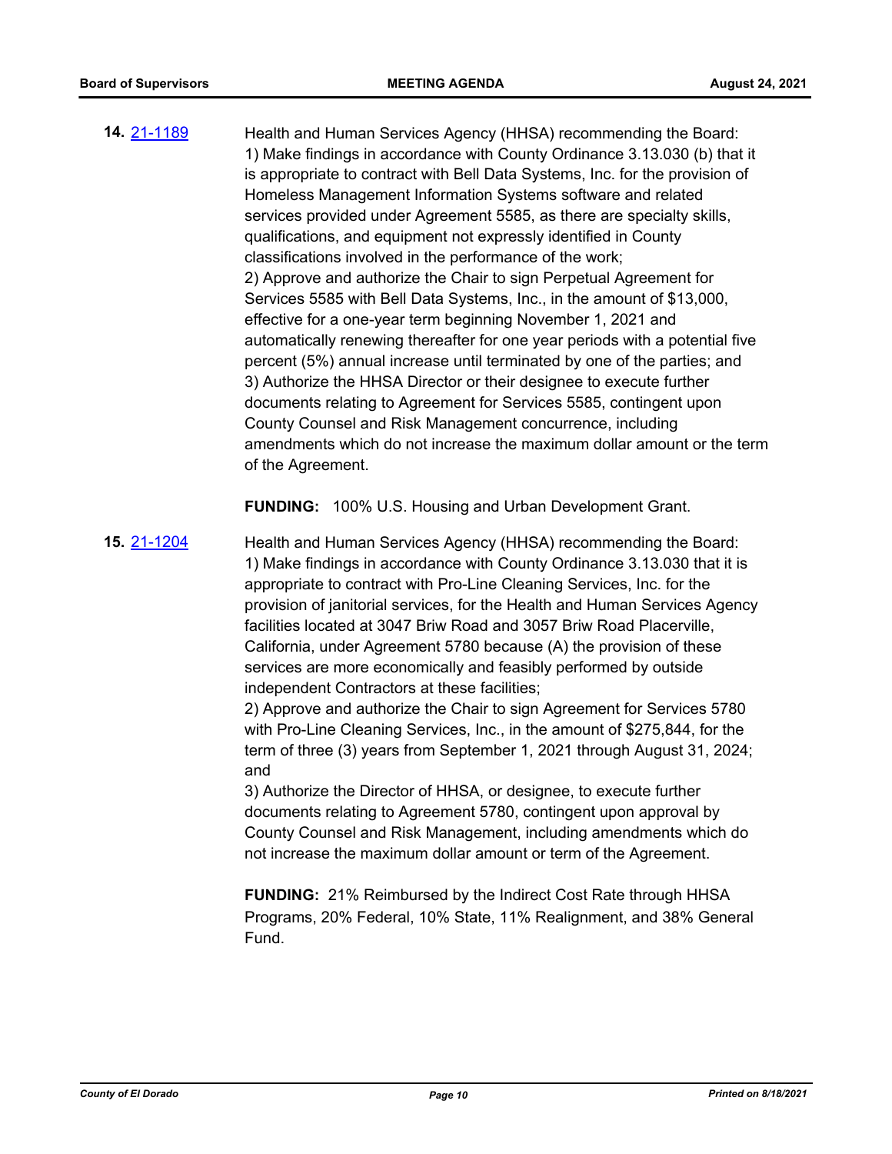**14.** [21-1189](http://eldorado.legistar.com/gateway.aspx?m=l&id=/matter.aspx?key=30084) Health and Human Services Agency (HHSA) recommending the Board: 1) Make findings in accordance with County Ordinance 3.13.030 (b) that it is appropriate to contract with Bell Data Systems, Inc. for the provision of Homeless Management Information Systems software and related services provided under Agreement 5585, as there are specialty skills, qualifications, and equipment not expressly identified in County classifications involved in the performance of the work; 2) Approve and authorize the Chair to sign Perpetual Agreement for Services 5585 with Bell Data Systems, Inc., in the amount of \$13,000, effective for a one-year term beginning November 1, 2021 and automatically renewing thereafter for one year periods with a potential five percent (5%) annual increase until terminated by one of the parties; and 3) Authorize the HHSA Director or their designee to execute further documents relating to Agreement for Services 5585, contingent upon County Counsel and Risk Management concurrence, including amendments which do not increase the maximum dollar amount or the term of the Agreement.

**FUNDING:** 100% U.S. Housing and Urban Development Grant.

**15.** [21-1204](http://eldorado.legistar.com/gateway.aspx?m=l&id=/matter.aspx?key=30099) Health and Human Services Agency (HHSA) recommending the Board: 1) Make findings in accordance with County Ordinance 3.13.030 that it is appropriate to contract with Pro-Line Cleaning Services, Inc. for the provision of janitorial services, for the Health and Human Services Agency facilities located at 3047 Briw Road and 3057 Briw Road Placerville, California, under Agreement 5780 because (A) the provision of these services are more economically and feasibly performed by outside independent Contractors at these facilities;

2) Approve and authorize the Chair to sign Agreement for Services 5780 with Pro-Line Cleaning Services, Inc., in the amount of \$275,844, for the term of three (3) years from September 1, 2021 through August 31, 2024; and

3) Authorize the Director of HHSA, or designee, to execute further documents relating to Agreement 5780, contingent upon approval by County Counsel and Risk Management, including amendments which do not increase the maximum dollar amount or term of the Agreement.

**FUNDING:** 21% Reimbursed by the Indirect Cost Rate through HHSA Programs, 20% Federal, 10% State, 11% Realignment, and 38% General Fund.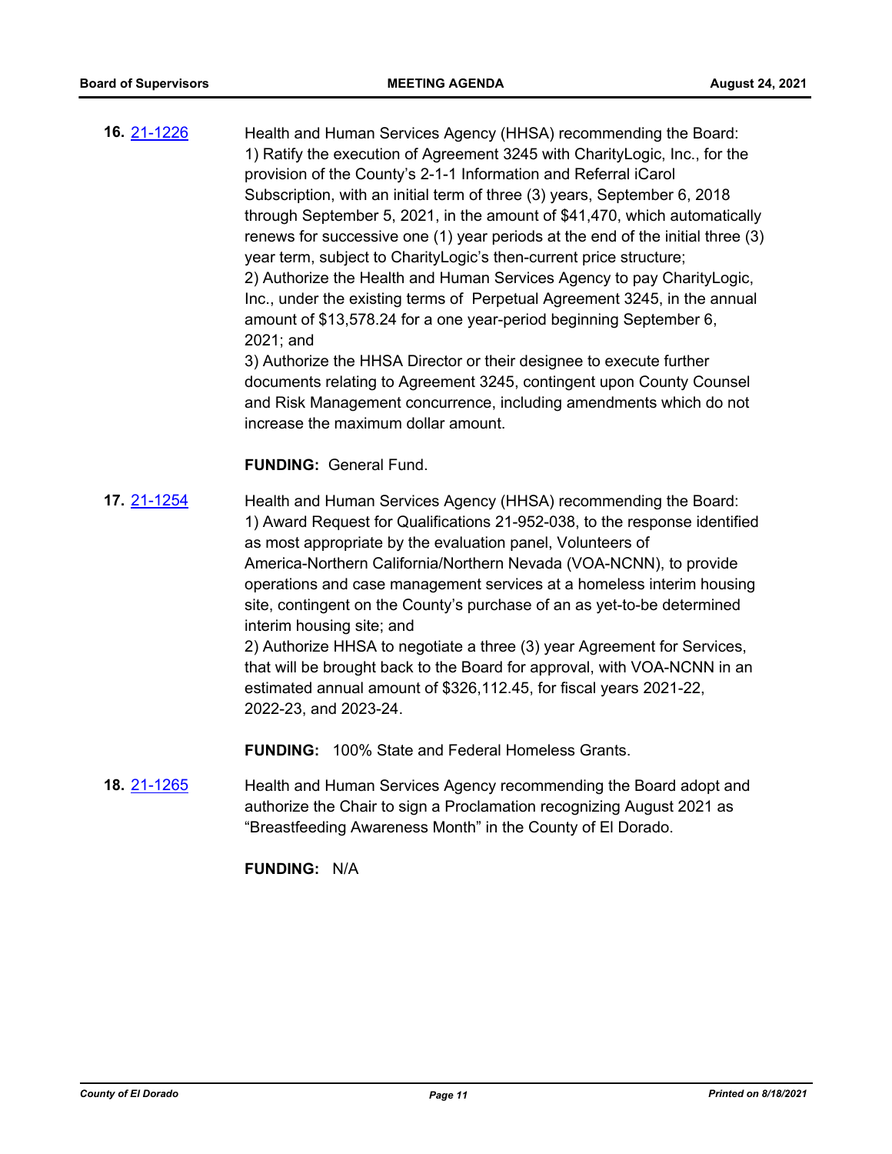**16.** [21-1226](http://eldorado.legistar.com/gateway.aspx?m=l&id=/matter.aspx?key=30121) Health and Human Services Agency (HHSA) recommending the Board: 1) Ratify the execution of Agreement 3245 with CharityLogic, Inc., for the provision of the County's 2-1-1 Information and Referral iCarol Subscription, with an initial term of three (3) years, September 6, 2018 through September 5, 2021, in the amount of \$41,470, which automatically renews for successive one (1) year periods at the end of the initial three (3) year term, subject to CharityLogic's then-current price structure; 2) Authorize the Health and Human Services Agency to pay CharityLogic, Inc., under the existing terms of Perpetual Agreement 3245, in the annual amount of \$13,578.24 for a one year-period beginning September 6, 2021; and

3) Authorize the HHSA Director or their designee to execute further documents relating to Agreement 3245, contingent upon County Counsel and Risk Management concurrence, including amendments which do not increase the maximum dollar amount.

#### **FUNDING:** General Fund.

**17.** [21-1254](http://eldorado.legistar.com/gateway.aspx?m=l&id=/matter.aspx?key=30149) Health and Human Services Agency (HHSA) recommending the Board: 1) Award Request for Qualifications 21-952-038, to the response identified as most appropriate by the evaluation panel, Volunteers of America-Northern California/Northern Nevada (VOA-NCNN), to provide operations and case management services at a homeless interim housing site, contingent on the County's purchase of an as yet-to-be determined interim housing site; and 2) Authorize HHSA to negotiate a three (3) year Agreement for Services,

that will be brought back to the Board for approval, with VOA-NCNN in an estimated annual amount of \$326,112.45, for fiscal years 2021-22, 2022-23, and 2023-24.

**FUNDING:** 100% State and Federal Homeless Grants.

**18.** [21-1265](http://eldorado.legistar.com/gateway.aspx?m=l&id=/matter.aspx?key=30160) Health and Human Services Agency recommending the Board adopt and authorize the Chair to sign a Proclamation recognizing August 2021 as "Breastfeeding Awareness Month" in the County of El Dorado.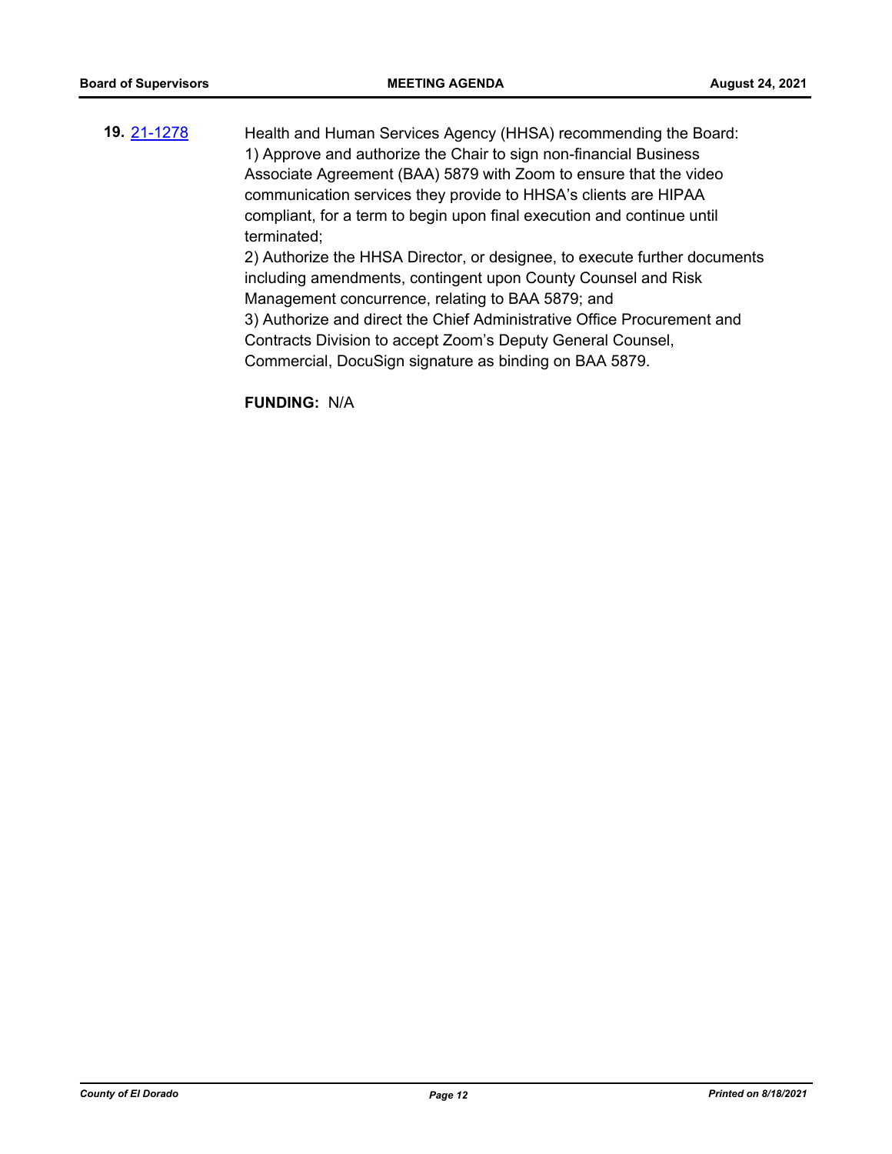**19.** [21-1278](http://eldorado.legistar.com/gateway.aspx?m=l&id=/matter.aspx?key=30173) Health and Human Services Agency (HHSA) recommending the Board: 1) Approve and authorize the Chair to sign non-financial Business Associate Agreement (BAA) 5879 with Zoom to ensure that the video communication services they provide to HHSA's clients are HIPAA compliant, for a term to begin upon final execution and continue until terminated; 2) Authorize the HHSA Director, or designee, to execute further documents including amendments, contingent upon County Counsel and Risk Management concurrence, relating to BAA 5879; and 3) Authorize and direct the Chief Administrative Office Procurement and Contracts Division to accept Zoom's Deputy General Counsel,

Commercial, DocuSign signature as binding on BAA 5879.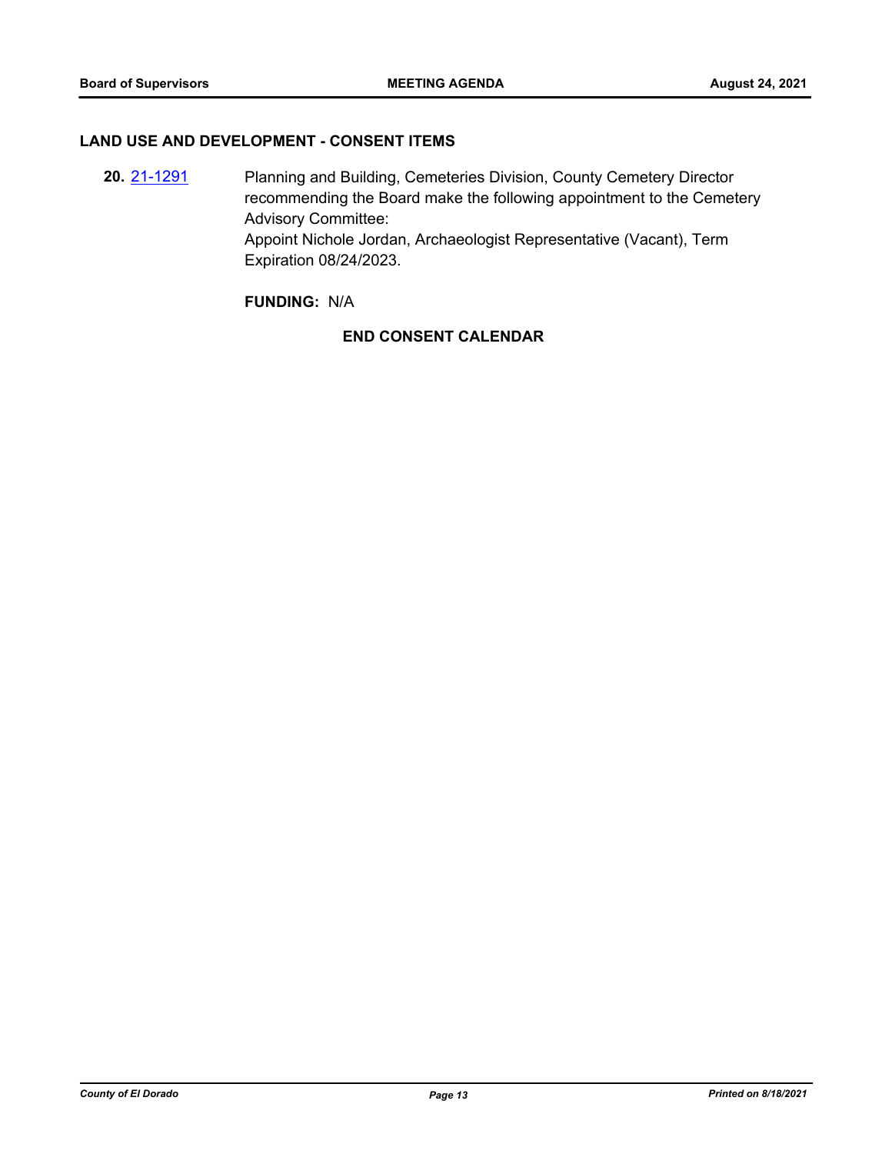#### **LAND USE AND DEVELOPMENT - CONSENT ITEMS**

**20.** [21-1291](http://eldorado.legistar.com/gateway.aspx?m=l&id=/matter.aspx?key=30186) Planning and Building, Cemeteries Division, County Cemetery Director recommending the Board make the following appointment to the Cemetery Advisory Committee: Appoint Nichole Jordan, Archaeologist Representative (Vacant), Term Expiration 08/24/2023.

### **FUNDING:** N/A

## **END CONSENT CALENDAR**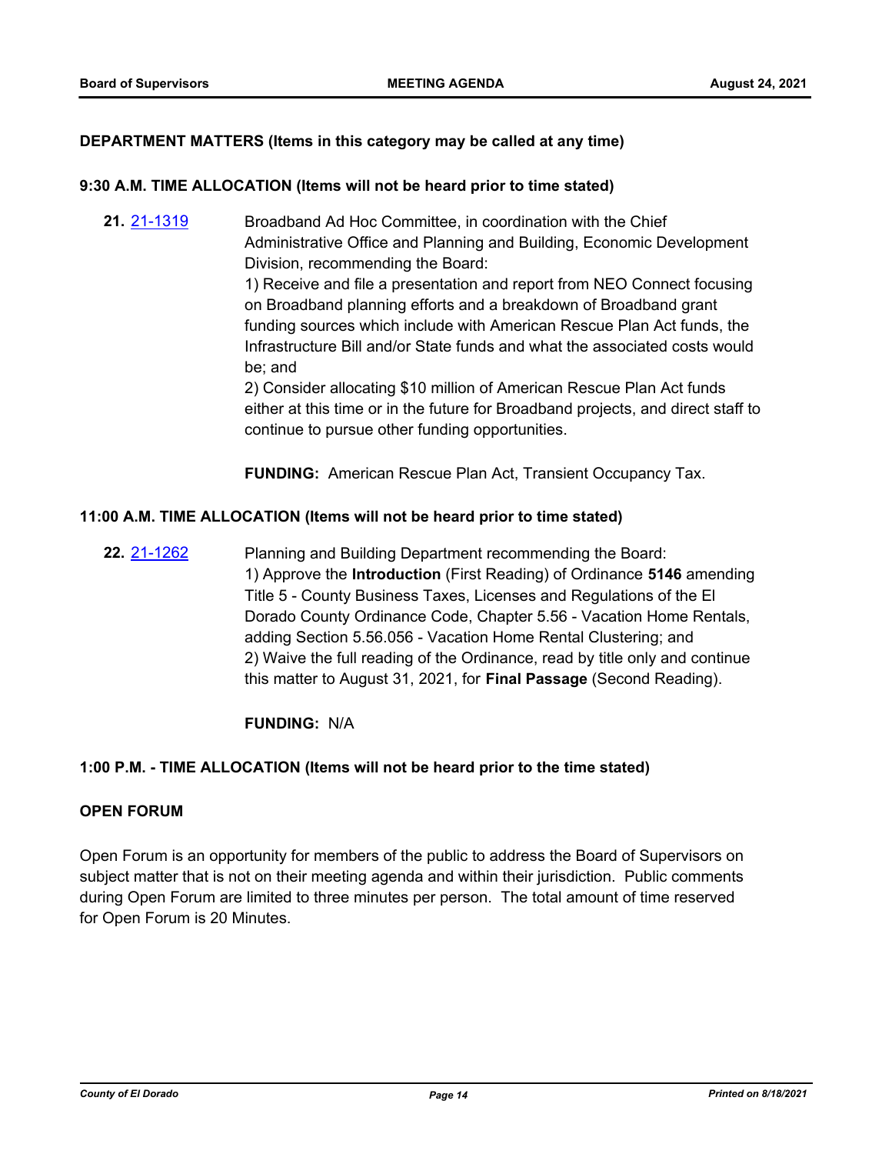#### **DEPARTMENT MATTERS (Items in this category may be called at any time)**

#### **9:30 A.M. TIME ALLOCATION (Items will not be heard prior to time stated)**

**21.** [21-1319](http://eldorado.legistar.com/gateway.aspx?m=l&id=/matter.aspx?key=30214) Broadband Ad Hoc Committee, in coordination with the Chief Administrative Office and Planning and Building, Economic Development Division, recommending the Board:

> 1) Receive and file a presentation and report from NEO Connect focusing on Broadband planning efforts and a breakdown of Broadband grant funding sources which include with American Rescue Plan Act funds, the Infrastructure Bill and/or State funds and what the associated costs would be; and

2) Consider allocating \$10 million of American Rescue Plan Act funds either at this time or in the future for Broadband projects, and direct staff to continue to pursue other funding opportunities.

**FUNDING:** American Rescue Plan Act, Transient Occupancy Tax.

#### **11:00 A.M. TIME ALLOCATION (Items will not be heard prior to time stated)**

**22.** [21-1262](http://eldorado.legistar.com/gateway.aspx?m=l&id=/matter.aspx?key=30157) Planning and Building Department recommending the Board: 1) Approve the **Introduction** (First Reading) of Ordinance **5146** amending Title 5 - County Business Taxes, Licenses and Regulations of the El Dorado County Ordinance Code, Chapter 5.56 - Vacation Home Rentals, adding Section 5.56.056 - Vacation Home Rental Clustering; and 2) Waive the full reading of the Ordinance, read by title only and continue this matter to August 31, 2021, for **Final Passage** (Second Reading).

#### **FUNDING:** N/A

#### **1:00 P.M. - TIME ALLOCATION (Items will not be heard prior to the time stated)**

#### **OPEN FORUM**

Open Forum is an opportunity for members of the public to address the Board of Supervisors on subject matter that is not on their meeting agenda and within their jurisdiction. Public comments during Open Forum are limited to three minutes per person. The total amount of time reserved for Open Forum is 20 Minutes.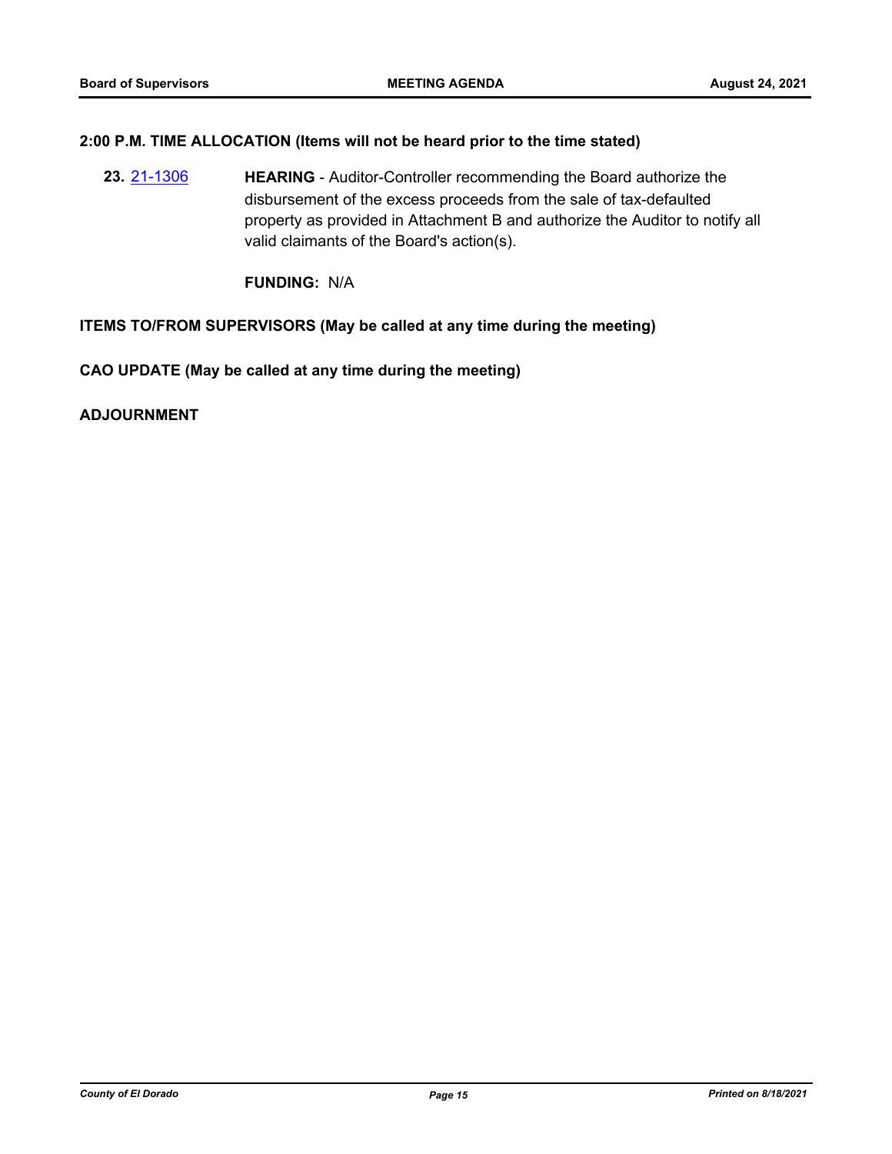#### **2:00 P.M. TIME ALLOCATION (Items will not be heard prior to the time stated)**

**23.** [21-1306](http://eldorado.legistar.com/gateway.aspx?m=l&id=/matter.aspx?key=30201) **HEARING** - Auditor-Controller recommending the Board authorize the disbursement of the excess proceeds from the sale of tax-defaulted property as provided in Attachment B and authorize the Auditor to notify all valid claimants of the Board's action(s).

**FUNDING:** N/A

#### **ITEMS TO/FROM SUPERVISORS (May be called at any time during the meeting)**

**CAO UPDATE (May be called at any time during the meeting)**

**ADJOURNMENT**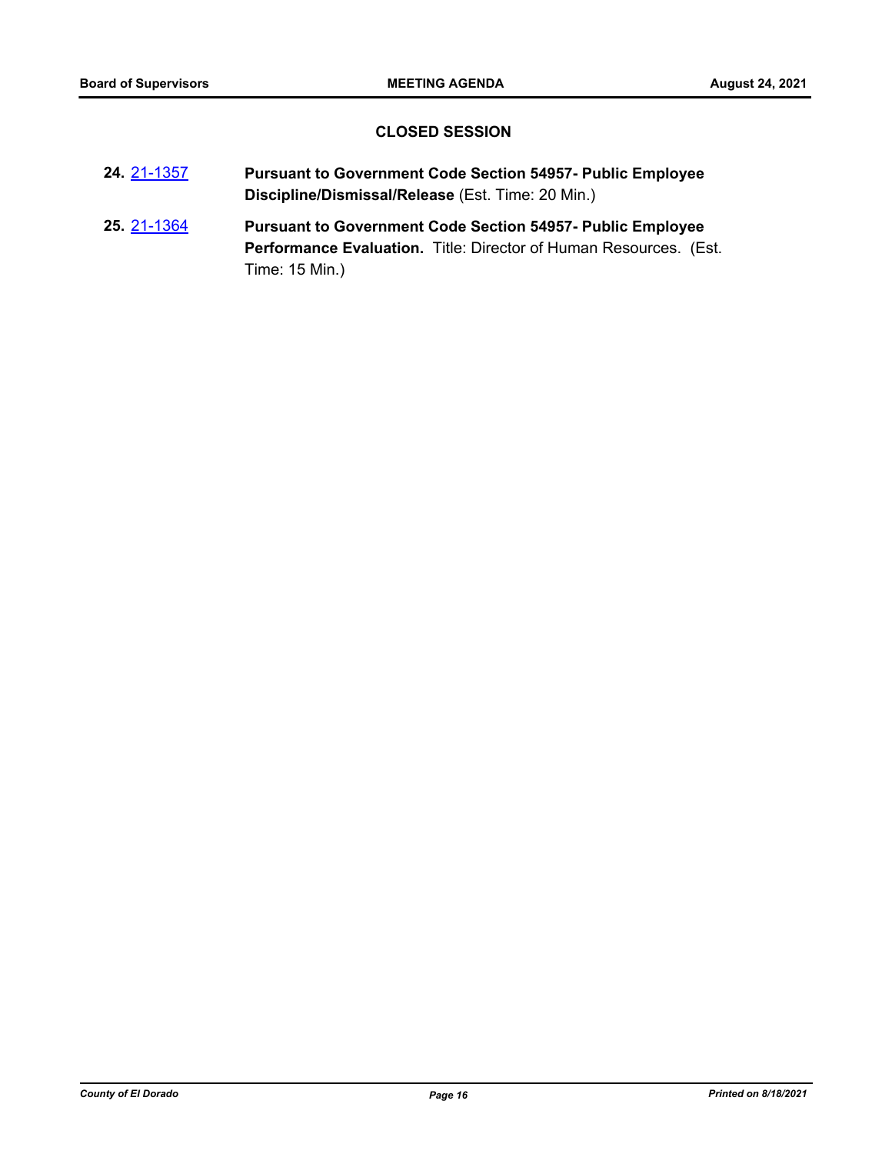## **CLOSED SESSION**

| 24 21-1357 | <b>Pursuant to Government Code Section 54957- Public Employee</b> |
|------------|-------------------------------------------------------------------|
|            | Discipline/Dismissal/Release (Est. Time: 20 Min.)                 |

**25.** [21-1364](http://eldorado.legistar.com/gateway.aspx?m=l&id=/matter.aspx?key=30259) **Pursuant to Government Code Section 54957- Public Employee Performance Evaluation.** Title: Director of Human Resources. (Est. Time: 15 Min.)